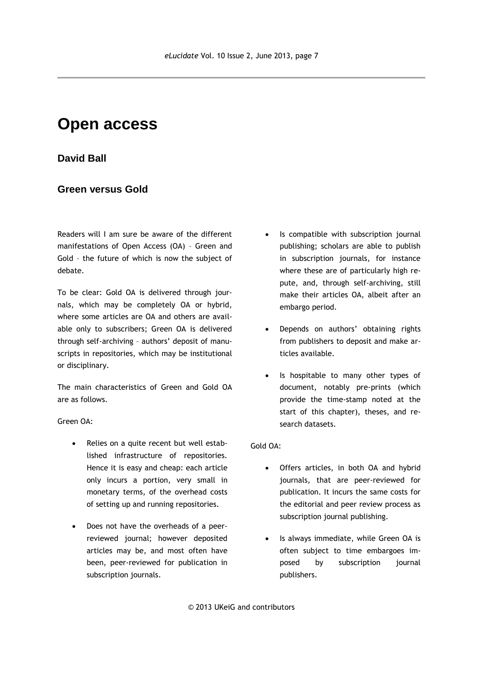## **Open access**

## **David Ball**

## **Green versus Gold**

Readers will I am sure be aware of the different manifestations of Open Access (OA) – Green and Gold – the future of which is now the subject of debate.

To be clear: Gold OA is delivered through journals, which may be completely OA or hybrid, where some articles are OA and others are available only to subscribers; Green OA is delivered through self-archiving – authors' deposit of manuscripts in repositories, which may be institutional or disciplinary.

The main characteristics of Green and Gold OA are as follows.

Green OA:

- Relies on a quite recent but well established infrastructure of repositories. Hence it is easy and cheap: each article only incurs a portion, very small in monetary terms, of the overhead costs of setting up and running repositories.
- Does not have the overheads of a peerreviewed journal; however deposited articles may be, and most often have been, peer-reviewed for publication in subscription journals.
- Is compatible with subscription journal publishing; scholars are able to publish in subscription journals, for instance where these are of particularly high repute, and, through self-archiving, still make their articles OA, albeit after an embargo period.
- Depends on authors' obtaining rights from publishers to deposit and make articles available.
- Is hospitable to many other types of document, notably pre-prints (which provide the time-stamp noted at the start of this chapter), theses, and research datasets.

Gold OA:

- Offers articles, in both OA and hybrid journals, that are peer-reviewed for publication. It incurs the same costs for the editorial and peer review process as subscription journal publishing.
- Is always immediate, while Green OA is often subject to time embargoes imposed by subscription journal publishers.

© 2013 UKeiG and contributors